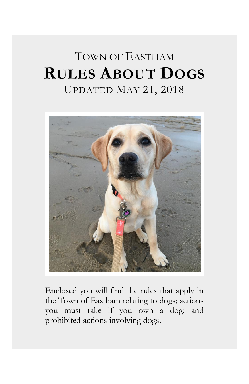# TOWN OF EASTHAM **RULES ABOUT DOGS** UPDATED MAY 21, 2018



Enclosed you will find the rules that apply in the Town of Eastham relating to dogs; actions you must take if you own a dog; and prohibited actions involving dogs.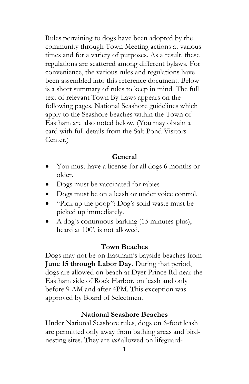Rules pertaining to dogs have been adopted by the community through Town Meeting actions at various times and for a variety of purposes. As a result, these regulations are scattered among different bylaws. For convenience, the various rules and regulations have been assembled into this reference document. Below is a short summary of rules to keep in mind. The full text of relevant Town By-Laws appears on the following pages. National Seashore guidelines which apply to the Seashore beaches within the Town of Eastham are also noted below. (You may obtain a card with full details from the Salt Pond Visitors Center.)

#### **General**

- You must have a license for all dogs 6 months or older.
- Dogs must be vaccinated for rabies
- Dogs must be on a leash or under voice control.
- "Pick up the poop": Dog's solid waste must be picked up immediately.
- A dog's continuous barking (15 minutes-plus), heard at 100', is not allowed.

#### **Town Beaches**

Dogs may not be on Eastham's bayside beaches from **June 15 through Labor Day**. During that period, dogs are allowed on beach at Dyer Prince Rd near the Eastham side of Rock Harbor, on leash and only before 9 AM and after 4PM. This exception was approved by Board of Selectmen.

### **National Seashore Beaches**

Under National Seashore rules, dogs on 6-foot leash are permitted only away from bathing areas and birdnesting sites. They are *not* allowed on lifeguard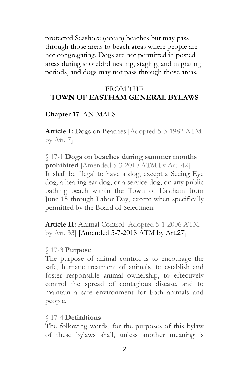protected Seashore (ocean) beaches but may pass through those areas to beach areas where people are not congregating. Dogs are not permitted in posted areas during shorebird nesting, staging, and migrating periods, and dogs may not pass through those areas.

## FROM THE **TOWN OF EASTHAM GENERAL BYLAWS**

#### **Chapter 17**: ANIMALS

**Article I:** [Dogs on Beaches](http://ecode360.com/11468881) [Adopted 5-3-1982 ATM by Art. 7]

# § 17-1 **Dogs on beaches during summer months prohibited** [Amended 5-3-2010 ATM by Art. 42]

It shall be illegal to have a dog, except a Seeing Eye dog, a hearing ear dog, or a service dog, on any public bathing beach within the Town of Eastham from June 15 through Labor Day, except when specifically permitted by the Board of Selectmen.

**Article II:** [Animal Control](http://ecode360.com/11468884) [Adopted 5-1-2006 ATM by Art. 33] [Amended 5-7-2018 ATM by Art.27]

#### § 17-3 **Purpose**

The purpose of animal control is to encourage the safe, humane treatment of animals, to establish and foster responsible animal ownership, to effectively control the spread of contagious disease, and to maintain a safe environment for both animals and people.

#### § 17-4 **Definitions**

The following words, for the purposes of this bylaw of these bylaws shall, unless another meaning is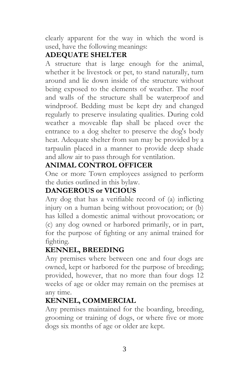clearly apparent for the way in which the word is used, have the following meanings:

# **[ADEQUATE SHELTER](http://ecode360.com/11468887#11468887)**

A structure that is large enough for the animal, whether it be livestock or pet, to stand naturally, turn around and lie down inside of the structure without being exposed to the elements of weather. The roof and walls of the structure shall be waterproof and windproof. Bedding must be kept dry and changed regularly to preserve insulating qualities. During cold weather a moveable flap shall be placed over the entrance to a dog shelter to preserve the dog's body heat. Adequate shelter from sun may be provided by a tarpaulin placed in a manner to provide deep shade and allow air to pass through for ventilation.

# **[ANIMAL CONTROL OFFICER](http://ecode360.com/11468888#11468888)**

One or more Town employees assigned to perform the duties outlined in this bylaw.

# **[DANGEROUS or VICIOUS](http://ecode360.com/11468889#11468889)**

Any dog that has a verifiable record of (a) inflicting injury on a human being without provocation; or (b) has killed a domestic animal without provocation; or (c) any dog owned or harbored primarily, or in part, for the purpose of fighting or any animal trained for fighting.

# **[KENNEL, BREEDING](http://ecode360.com/11468891#11468891)**

Any premises where between one and four dogs are owned, kept or harbored for the purpose of breeding; provided, however, that no more than four dogs 12 weeks of age or older may remain on the premises at any time.

# **[KENNEL, COMMERCIAL](http://ecode360.com/11468892#11468892)**

Any premises maintained for the boarding, breeding, grooming or training of dogs, or where five or more dogs six months of age or older are kept.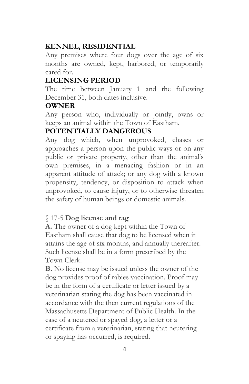# **[KENNEL, RESIDENTIAL](http://ecode360.com/11468893#11468893)**

Any premises where four dogs over the age of six months are owned, kept, harbored, or temporarily cared for.

## **[LICENSING PERIOD](http://ecode360.com/11468894#11468894)**

The time between January 1 and the following December 31, both dates inclusive.

## **[OWNER](http://ecode360.com/11468895#11468895)**

Any person who, individually or jointly, owns or keeps an animal within the Town of Eastham.

## **[POTENTIALLY DANGEROUS](http://ecode360.com/11468896#11468896)**

Any dog which, when unprovoked, chases or approaches a person upon the public ways or on any public or private property, other than the animal's own premises, in a menacing fashion or in an apparent attitude of attack; or any dog with a known propensity, tendency, or disposition to attack when unprovoked, to cause injury, or to otherwise threaten the safety of human beings or domestic animals.

## § 17-5 **Dog license and tag**

**[A.](http://ecode360.com/11468898#11468898)** The owner of a dog kept within the Town of Eastham shall cause that dog to be licensed when it attains the age of six months, and annually thereafter. Such license shall be in a form prescribed by the Town Clerk.

**[B.](http://ecode360.com/11468899#11468899)** No license may be issued unless the owner of the dog provides proof of rabies vaccination. Proof may be in the form of a certificate or letter issued by a veterinarian stating the dog has been vaccinated in accordance with the then current regulations of the Massachusetts Department of Public Health. In the case of a neutered or spayed dog, a letter or a certificate from a veterinarian, stating that neutering or spaying has occurred, is required.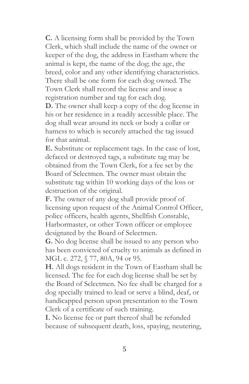**[C.](http://ecode360.com/11468900#11468900)** A licensing form shall be provided by the Town Clerk, which shall include the name of the owner or keeper of the dog, the address in Eastham where the animal is kept, the name of the dog; the age, the breed, color and any other identifying characteristics. There shall be one form for each dog owned. The Town Clerk shall record the license and issue a registration number and tag for each dog.

**[D.](http://ecode360.com/11468901#11468901)** The owner shall keep a copy of the dog license in his or her residence in a readily accessible place. The dog shall wear around its neck or body a collar or harness to which is securely attached the tag issued for that animal.

**[E.](http://ecode360.com/11468902#11468902)** Substitute or replacement tags. In the case of lost, defaced or destroyed tags, a substitute tag may be obtained from the Town Clerk, for a fee set by the Board of Selectmen. The owner must obtain the substitute tag within 10 working days of the loss or destruction of the original.

**[F.](http://ecode360.com/11468903#11468903)** The owner of any dog shall provide proof of licensing upon request of the Animal Control Officer, police officers, health agents, Shellfish Constable, Harbormaster, or other Town officer or employee designated by the Board of Selectmen.

**[G.](http://ecode360.com/11468904#11468904)** No dog license shall be issued to any person who has been convicted of cruelty to animals as defined in MGL c. 272, § 77, 80A, 94 or 95.

**[H.](http://ecode360.com/11468905#11468905)** All dogs resident in the Town of Eastham shall be licensed. The fee for each dog license shall be set by the Board of Selectmen. No fee shall be charged for a dog specially trained to lead or serve a blind, deaf, or handicapped person upon presentation to the Town Clerk of a certificate of such training.

**[I.](http://ecode360.com/11468906#11468906)** No license fee or part thereof shall be refunded because of subsequent death, loss, spaying, neutering,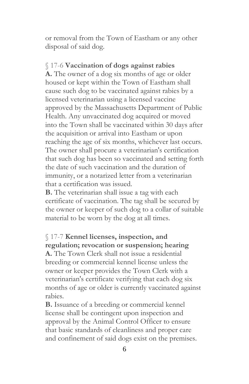or removal from the Town of Eastham or any other disposal of said dog.

#### § 17-6 **Vaccination of dogs against rabies**

**[A.](http://ecode360.com/11468908#11468908)** The owner of a dog six months of age or older housed or kept within the Town of Eastham shall cause such dog to be vaccinated against rabies by a licensed veterinarian using a licensed vaccine approved by the Massachusetts Department of Public Health. Any unvaccinated dog acquired or moved into the Town shall be vaccinated within 30 days after the acquisition or arrival into Eastham or upon reaching the age of six months, whichever last occurs. The owner shall procure a veterinarian's certification that such dog has been so vaccinated and setting forth the date of such vaccination and the duration of immunity, or a notarized letter from a veterinarian that a certification was issued.

**[B.](http://ecode360.com/11468909#11468909)** The veterinarian shall issue a tag with each certificate of vaccination. The tag shall be secured by the owner or keeper of such dog to a collar of suitable material to be worn by the dog at all times.

# § 17-7 **Kennel licenses, inspection, and regulation; revocation or suspension; hearing**

**[A.](http://ecode360.com/11468911#11468911)** The Town Clerk shall not issue a residential breeding or commercial kennel license unless the owner or keeper provides the Town Clerk with a veterinarian's certificate verifying that each dog six months of age or older is currently vaccinated against rabies.

**[B.](http://ecode360.com/11468912#11468912)** Issuance of a breeding or commercial kennel license shall be contingent upon inspection and approval by the Animal Control Officer to ensure that basic standards of cleanliness and proper care and confinement of said dogs exist on the premises.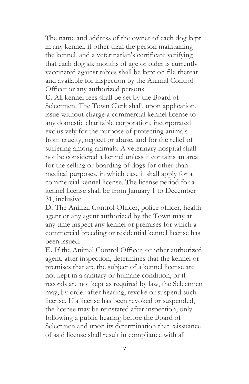The name and address of the owner of each dog kept in any kennel, if other than the person maintaining the kennel, and a veterinarian's certificate verifying that each dog six months of age or older is currently vaccinated against rabies shall be kept on file thereat and available for inspection by the Animal Control Officer or any authorized persons.

**[C.](http://ecode360.com/11468913#11468913)** All kennel fees shall be set by the Board of Selectmen. The Town Clerk shall, upon application, issue without charge a commercial kennel license to any domestic charitable corporation, incorporated exclusively for the purpose of protecting animals from cruelty, neglect or abuse, and for the relief of suffering among animals. A veterinary hospital shall not be considered a kennel unless it contains an area for the selling or boarding of dogs for other than medical purposes, in which case it shall apply for a commercial kennel license. The license period for a kennel license shall be from January 1 to December 31, inclusive.

**[D.](http://ecode360.com/11468914#11468914)** The Animal Control Officer, police officer, health agent or any agent authorized by the Town may at any time inspect any kennel or premises for which a commercial breeding or residential kennel license has been issued.

**[E.](http://ecode360.com/11468915#11468915)** If the Animal Control Officer, or other authorized agent, after inspection, determines that the kennel or premises that are the subject of a kennel license are not kept in a sanitary or humane condition, or if records are not kept as required by law, the Selectmen may, by order after hearing, revoke or suspend such license. If a license has been revoked or suspended, the license may be reinstated after inspection, only following a public hearing before the Board of Selectmen and upon its determination that reissuance of said license shall result in compliance with all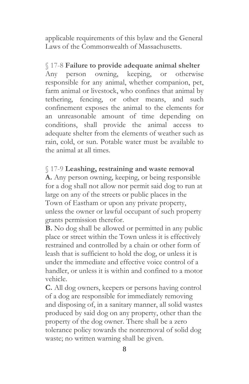applicable requirements of this bylaw and the General Laws of the Commonwealth of Massachusetts.

#### § 17-8 **Failure to provide adequate animal shelter**

Any person owning, keeping, or otherwise responsible for any animal, whether companion, pet, farm animal or livestock, who confines that animal by tethering, fencing, or other means, and such confinement exposes the animal to the elements for an unreasonable amount of time depending on conditions, shall provide the animal access to adequate shelter from the elements of weather such as rain, cold, or sun. Potable water must be available to the animal at all times.

### § 17-9 **Leashing, restraining and waste removal**

**[A.](http://ecode360.com/11468918#11468918)** Any person owning, keeping, or being responsible for a dog shall not allow nor permit said dog to run at large on any of the streets or public places in the Town of Eastham or upon any private property, unless the owner or lawful occupant of such property grants permission therefor.

**[B.](http://ecode360.com/11468919#11468919)** No dog shall be allowed or permitted in any public place or street within the Town unless it is effectively restrained and controlled by a chain or other form of leash that is sufficient to hold the dog, or unless it is under the immediate and effective voice control of a handler, or unless it is within and confined to a motor vehicle.

**[C.](http://ecode360.com/11468920#11468920)** All dog owners, keepers or persons having control of a dog are responsible for immediately removing and disposing of, in a sanitary manner, all solid wastes produced by said dog on any property, other than the property of the dog owner. There shall be a zero tolerance policy towards the nonremoval of solid dog waste; no written warning shall be given.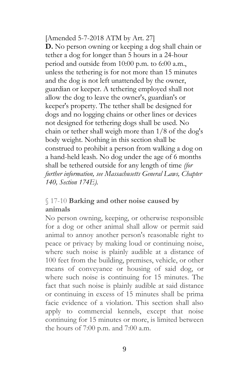[Amended 5-7-2018 ATM by Art. 27] **D.** No person owning or keeping a dog shall chain or tether a dog for longer than 5 hours in a 24-hour period and outside from 10:00 p.m. to 6:00 a.m., unless the tethering is for not more than 15 minutes and the dog is not left unattended by the owner, guardian or keeper. A tethering employed shall not allow the dog to leave the owner's, guardian's or keeper's property. The tether shall be designed for dogs and no logging chains or other lines or devices not designed for tethering dogs shall be used. No chain or tether shall weigh more than 1/8 of the dog's body weight. Nothing in this section shall be construed to prohibit a person from walking a dog on a hand-held leash. No dog under the age of 6 months shall be tethered outside for any length of time *(for further information, see Massachusetts General Laws, Chapter 140, Section 174E).*

## § 17-10 **Barking and other noise caused by animals**

No person owning, keeping, or otherwise responsible for a dog or other animal shall allow or permit said animal to annoy another person's reasonable right to peace or privacy by making loud or continuing noise, where such noise is plainly audible at a distance of 100 feet from the building, premises, vehicle, or other means of conveyance or housing of said dog, or where such noise is continuing for 15 minutes. The fact that such noise is plainly audible at said distance or continuing in excess of 15 minutes shall be prima facie evidence of a violation. This section shall also apply to commercial kennels, except that noise continuing for 15 minutes or more, is limited between the hours of 7:00 p.m. and 7:00 a.m.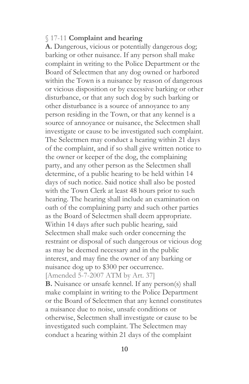#### § 17-11 **Complaint and hearing**

**[A.](http://ecode360.com/11468923#11468923)** Dangerous, vicious or potentially dangerous dog; barking or other nuisance. If any person shall make complaint in writing to the Police Department or the Board of Selectmen that any dog owned or harbored within the Town is a nuisance by reason of dangerous or vicious disposition or by excessive barking or other disturbance, or that any such dog by such barking or other disturbance is a source of annoyance to any person residing in the Town, or that any kennel is a source of annoyance or nuisance, the Selectmen shall investigate or cause to be investigated such complaint. The Selectmen may conduct a hearing within 21 days of the complaint, and if so shall give written notice to the owner or keeper of the dog, the complaining party, and any other person as the Selectmen shall determine, of a public hearing to be held within 14 days of such notice. Said notice shall also be posted with the Town Clerk at least 48 hours prior to such hearing. The hearing shall include an examination on oath of the complaining party and such other parties as the Board of Selectmen shall deem appropriate. Within 14 days after such public hearing, said Selectmen shall make such order concerning the restraint or disposal of such dangerous or vicious dog as may be deemed necessary and in the public interest, and may fine the owner of any barking or nuisance dog up to \$300 per occurrence. [Amended 5-7-2007 ATM by Art. 37] **[B.](http://ecode360.com/11468924#11468924)** Nuisance or unsafe kennel. If any person(s) shall make complaint in writing to the Police Department or the Board of Selectmen that any kennel constitutes a nuisance due to noise, unsafe conditions or

otherwise, Selectmen shall investigate or cause to be investigated such complaint. The Selectmen may conduct a hearing within 21 days of the complaint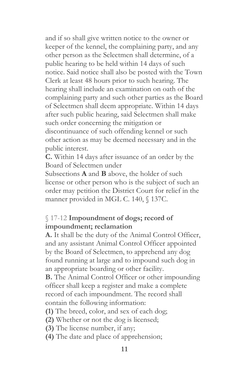and if so shall give written notice to the owner or keeper of the kennel, the complaining party, and any other person as the Selectmen shall determine, of a public hearing to be held within 14 days of such notice. Said notice shall also be posted with the Town Clerk at least 48 hours prior to such hearing. The hearing shall include an examination on oath of the complaining party and such other parties as the Board of Selectmen shall deem appropriate. Within 14 days after such public hearing, said Selectmen shall make such order concerning the mitigation or discontinuance of such offending kennel or such other action as may be deemed necessary and in the public interest.

**[C.](http://ecode360.com/11468925#11468925)** Within 14 days after issuance of an order by the Board of Selectmen under

Subsections **[A](http://ecode360.com/11468923#11468923)** and **[B](http://ecode360.com/11468924#11468924)** above, the holder of such license or other person who is the subject of such an order may petition the District Court for relief in the manner provided in MGL C. 140, § 137C.

## § 17-12 **Impoundment of dogs; record of impoundment; reclamation**

**[A.](http://ecode360.com/11468927#11468927)** It shall be the duty of the Animal Control Officer, and any assistant Animal Control Officer appointed by the Board of Selectmen, to apprehend any dog found running at large and to impound such dog in an appropriate boarding or other facility.

**[B.](http://ecode360.com/11468928#11468928)** The Animal Control Officer or other impounding officer shall keep a register and make a complete record of each impoundment. The record shall contain the following information:

**[\(1\)](http://ecode360.com/11468929#11468929)** The breed, color, and sex of each dog;

- **[\(2\)](http://ecode360.com/11468930#11468930)** Whether or not the dog is licensed;
- **[\(3\)](http://ecode360.com/11468931#11468931)** The license number, if any;
- **[\(4\)](http://ecode360.com/11468932#11468932)** The date and place of apprehension;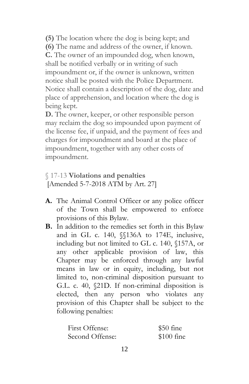**[\(5\)](http://ecode360.com/11468933#11468933)** The location where the dog is being kept; and **[\(6\)](http://ecode360.com/11468934#11468934)** The name and address of the owner, if known. **[C.](http://ecode360.com/11468935#11468935)** The owner of an impounded dog, when known, shall be notified verbally or in writing of such impoundment or, if the owner is unknown, written notice shall be posted with the Police Department. Notice shall contain a description of the dog, date and place of apprehension, and location where the dog is being kept.

**[D.](http://ecode360.com/11468936#11468936)** The owner, keeper, or other responsible person may reclaim the dog so impounded upon payment of the license fee, if unpaid, and the payment of fees and charges for impoundment and board at the place of impoundment, together with any other costs of impoundment.

## § 17-13 **Violations and penalties** [Amended 5-7-2018 ATM by Art. 27]

- **A.** The Animal Control Officer or any police officer of the Town shall be empowered to enforce provisions of this Bylaw.
- **B.** In addition to the remedies set forth in this Bylaw and in GL c. 140, §§136A to 174E, inclusive, including but not limited to GL c. 140, §157A, or any other applicable provision of law, this Chapter may be enforced through any lawful means in law or in equity, including, but not limited to, non-criminal disposition pursuant to G.L. c. 40, §21D. If non-criminal disposition is elected, then any person who violates any provision of this Chapter shall be subject to the following penalties:

| First Offense:  | $$50$ fine  |
|-----------------|-------------|
| Second Offense: | $$100$ fine |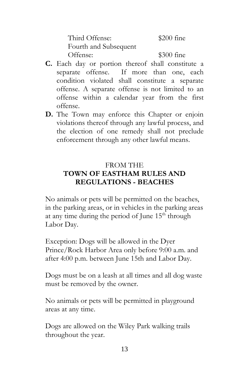Third Offense: \$200 fine Fourth and Subsequent Offense: \$300 fine

- **C.** Each day or portion thereof shall constitute a separate offense. If more than one, each condition violated shall constitute a separate offense. A separate offense is not limited to an offense within a calendar year from the first offense.
- **D.** The Town may enforce this Chapter or enjoin violations thereof through any lawful process, and the election of one remedy shall not preclude enforcement through any other lawful means.

# FROM THE **TOWN OF EASTHAM RULES AND REGULATIONS - BEACHES**

No animals or pets will be permitted on the beaches, in the parking areas, or in vehicles in the parking areas at any time during the period of June 15<sup>th</sup> through Labor Day.

Exception: Dogs will be allowed in the Dyer Prince/Rock Harbor Area only before 9:00 a.m. and after 4:00 p.m. between June 15th and Labor Day.

Dogs must be on a leash at all times and all dog waste must be removed by the owner.

No animals or pets will be permitted in playground areas at any time.

Dogs are allowed on the Wiley Park walking trails throughout the year.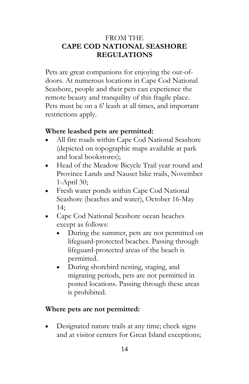## FROM THE **CAPE COD NATIONAL SEASHORE REGULATIONS**

Pets are great companions for enjoying the out-ofdoors. At numerous locations in Cape Cod National Seashore, people and their pets can experience the remote beauty and tranquility of this fragile place. Pets must be on a 6' leash at all times, and important restrictions apply.

## **Where leashed pets are permitted:**

- All fire roads within Cape Cod National Seashore (depicted on topographic maps available at park and local bookstores);
- Head of the Meadow Bicycle Trail year round and Province Lands and Nauset bike trails, November 1-April 30;
- Fresh water ponds within Cape Cod National Seashore (beaches and water), October 16-May 14;
- Cape Cod National Seashore ocean beaches except as follows:
	- During the summer, pets are not permitted on lifeguard-protected beaches. Passing through lifeguard-protected areas of the beach is permitted.
	- During shorebird nesting, staging, and migrating periods, pets are not permitted in posted locations. Passing through these areas is prohibited.

## **Where pets are not permitted:**

 Designated nature trails at any time; check signs and at visitor centers for Great Island exceptions;